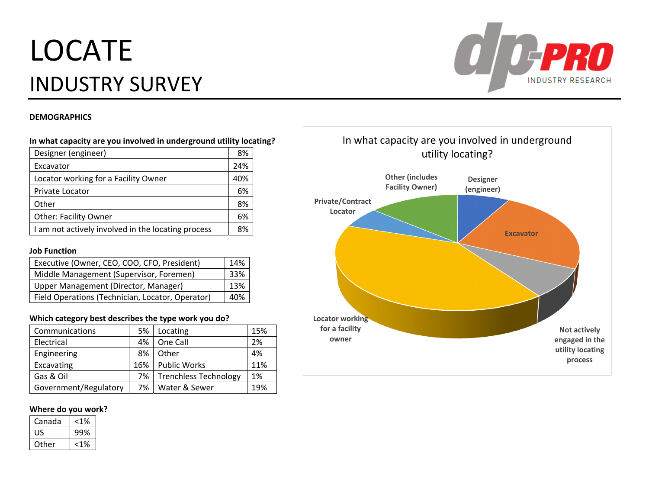# LOCATEINDUSTRY SURVEY



#### **DEMOGRAPHICS**

## **In what capacity are you involved in underground utility locating?**

| Designer (engineer)                                | 8%  |
|----------------------------------------------------|-----|
| Excavator                                          | 24% |
| Locator working for a Facility Owner               | 40% |
| Private Locator                                    | 6%  |
| Other                                              | 8%  |
| <b>Other: Facility Owner</b>                       | 6%  |
| I am not actively involved in the locating process | 8%  |

#### **Job Function**

| Executive (Owner, CEO, COO, CFO, President)      | 14% |
|--------------------------------------------------|-----|
| Middle Management (Supervisor, Foremen)          | 33% |
| Upper Management (Director, Manager)             | 13% |
| Field Operations (Technician, Locator, Operator) | 40% |

#### **Which category best describes the type work you do?**

| Communications        | 5%  | Locating              | 15% |
|-----------------------|-----|-----------------------|-----|
| Electrical            | 4%  | One Call              | 2%  |
| Engineering           | 8%  | Other                 | 4%  |
| Excavating            | 16% | <b>Public Works</b>   | 11% |
| Gas & Oil             | 7%  | Trenchless Technology | 1%  |
| Government/Regulatory | 7%  | Water & Sewer         | 19% |

#### **Where do you work?**

| Canada | <1% |
|--------|-----|
| US     | 99% |
| Other  |     |

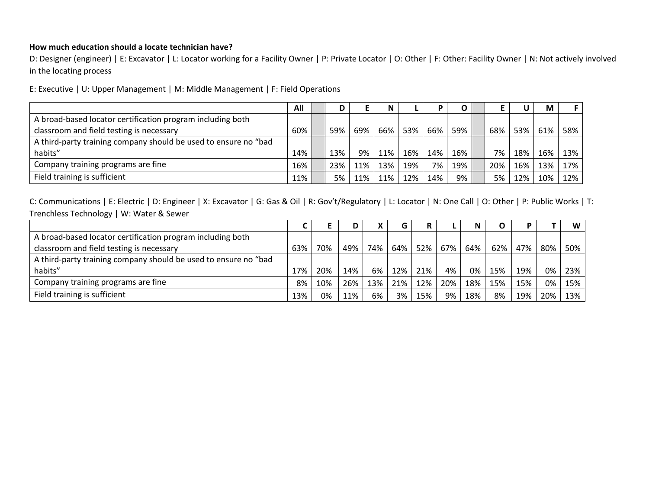# **How much education should <sup>a</sup> locate technician have?**

D: Designer (engineer) | E: Excavator | L: Locator working for <sup>a</sup> Facility Owner | P: Private Locator | O: Other | F: Other: Facility Owner | N: Not actively involved in the locating process

E: Executive | U: Upper Management | M: Middle Management | F: Field Operations

|                                                                 | All |     | E.  | N   |     |     |     |     |     | M   |     |
|-----------------------------------------------------------------|-----|-----|-----|-----|-----|-----|-----|-----|-----|-----|-----|
| A broad-based locator certification program including both      |     |     |     |     |     |     |     |     |     |     |     |
| classroom and field testing is necessary                        | 60% | 59% | 69% | 66% | 53% | 66% | 59% | 68% | 53% | 61% | 58% |
| A third-party training company should be used to ensure no "bad |     |     |     |     |     |     |     |     |     |     |     |
| habits"                                                         | 14% | 13% | 9%  | 11% | 16% | 14% | 16% | 7%  | 18% | 16% | 13% |
| Company training programs are fine                              | 16% | 23% | 11% | 13% | 19% | 7%  | 19% | 20% | 16% | 13% | 17% |
| Field training is sufficient                                    | 11% | 5%  | 11% | 11% | 12% | 14% | 9%  | 5%  | 12% | 10% | 12% |

|                                                                 |     |     |     |     | G   |     |     | N   |     |     |     | W   |
|-----------------------------------------------------------------|-----|-----|-----|-----|-----|-----|-----|-----|-----|-----|-----|-----|
| A broad-based locator certification program including both      |     |     |     |     |     |     |     |     |     |     |     |     |
| classroom and field testing is necessary                        | 63% | 70% | 49% | 74% | 64% | 52% | 67% | 64% | 62% | 47% | 80% | 50% |
| A third-party training company should be used to ensure no "bad |     |     |     |     |     |     |     |     |     |     |     |     |
| habits"                                                         | 17% | 20% | 14% | 6%  | 12% | 21% | 4%  | 0%  | 15% | 19% | 0%  | 23% |
| Company training programs are fine                              | 8%  | 10% | 26% | 13% | 21% | 12% | 20% | 18% | 15% | 15% | 0%  | 15% |
| Field training is sufficient                                    | 13% | 0%  | 11% | 6%  | 3%  | 15% | 9%  | 18% | 8%  | 19% | 20% | 13% |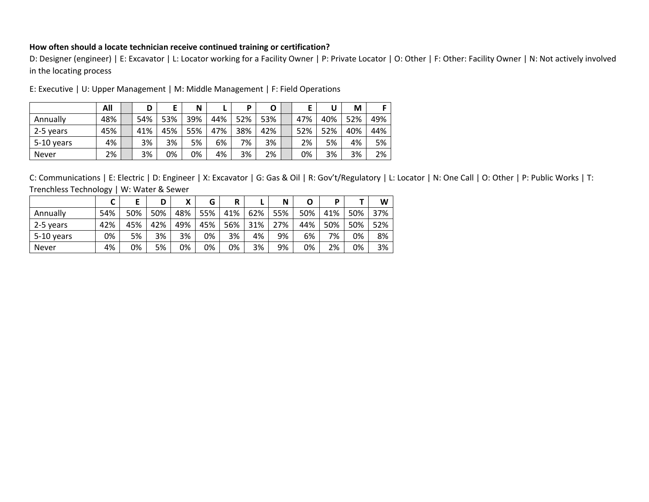#### **How often should <sup>a</sup> locate technician receive continued training or certification?**

D: Designer (engineer) | E: Excavator | L: Locator working for <sup>a</sup> Facility Owner | P: Private Locator | O: Other | F: Other: Facility Owner | N: Not actively involved in the locating process

|            | All | D   |     | N   |     | D   | Ο   |     | U   | М   |     |
|------------|-----|-----|-----|-----|-----|-----|-----|-----|-----|-----|-----|
| Annually   | 48% | 54% | 53% | 39% | 44% | 52% | 53% | 47% | 40% | 52% | 49% |
| 2-5 years  | 45% | 41% | 45% | 55% | 47% | 38% | 42% | 52% | 52% | 40% | 44% |
| 5-10 years | 4%  | 3%  | 3%  | 5%  | 6%  | 7%  | 3%  | 2%  | 5%  | 4%  | 5%  |
| Never      | 2%  | 3%  | 0%  | 0%  | 4%  | 3%  | 2%  | 0%  | 3%  | 3%  | 2%  |

E: Executive | U: Upper Management | M: Middle Management | F: Field Operations

|            |     |     | D   | v<br>Λ | G   | R   |     | N   | O   | D   |     | W   |
|------------|-----|-----|-----|--------|-----|-----|-----|-----|-----|-----|-----|-----|
| Annually   | 54% | 50% | 50% | 48%    | 55% | 41% | 62% | 55% | 50% | 41% | 50% | 37% |
| 2-5 years  | 42% | 45% | 42% | 49%    | 45% | 56% | 31% | 27% | 44% | 50% | 50% | 52% |
| 5-10 years | 0%  | 5%  | 3%  | 3%     | 0%  | 3%  | 4%  | 9%  | 6%  | 7%  | 0%  | 8%  |
| Never      | 4%  | 0%  | 5%  | 0%     | 0%  | 0%  | 3%  | 9%  | 0%  | 2%  | 0%  | 3%  |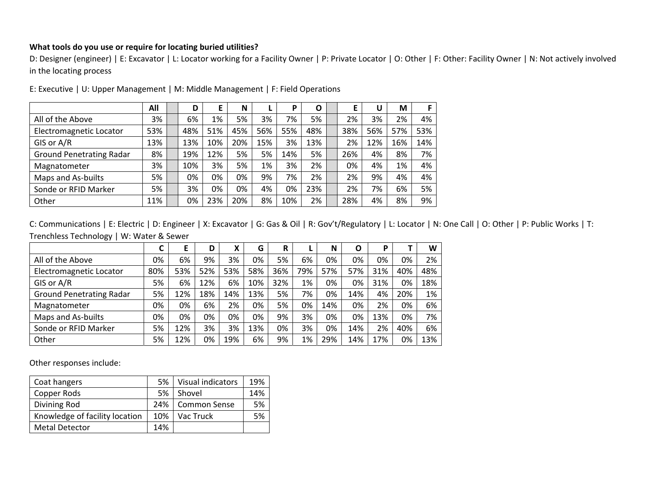## **What tools do you use or require for locating buried utilities?**

D: Designer (engineer) | E: Excavator | L: Locator working for <sup>a</sup> Facility Owner | P: Private Locator | O: Other | F: Other: Facility Owner | N: Not actively involved in the locating process

|                                 | All | D   |     | N   |     | P   | Ο   |     | U   | M   |     |
|---------------------------------|-----|-----|-----|-----|-----|-----|-----|-----|-----|-----|-----|
| All of the Above                | 3%  | 6%  | 1%  | 5%  | 3%  | 7%  | 5%  | 2%  | 3%  | 2%  | 4%  |
| Electromagnetic Locator         | 53% | 48% | 51% | 45% | 56% | 55% | 48% | 38% | 56% | 57% | 53% |
| GIS or A/R                      | 13% | 13% | 10% | 20% | 15% | 3%  | 13% | 2%  | 12% | 16% | 14% |
| <b>Ground Penetrating Radar</b> | 8%  | 19% | 12% | 5%  | 5%  | 14% | 5%  | 26% | 4%  | 8%  | 7%  |
| Magnatometer                    | 3%  | 10% | 3%  | 5%  | 1%  | 3%  | 2%  | 0%  | 4%  | 1%  | 4%  |
| Maps and As-builts              | 5%  | 0%  | 0%  | 0%  | 9%  | 7%  | 2%  | 2%  | 9%  | 4%  | 4%  |
| Sonde or RFID Marker            | 5%  | 3%  | 0%  | 0%  | 4%  | 0%  | 23% | 2%  | 7%  | 6%  | 5%  |
| Other                           | 11% | 0%  | 23% | 20% | 8%  | 10% | 2%  | 28% | 4%  | 8%  | 9%  |

E: Executive | U: Upper Management | M: Middle Management | F: Field Operations

C: Communications | E: Electric | D: Engineer | X: Excavator | G: Gas & Oil | R: Gov't/Regulatory | L: Locator | N: One Call | O: Other | P: Public Works | T: Trenchless Technology | W: Water & Sewer

|                                 | C   | Е   | D   | χ   | G   | R   |     | N   | O   | P   |     | W   |
|---------------------------------|-----|-----|-----|-----|-----|-----|-----|-----|-----|-----|-----|-----|
| All of the Above                | 0%  | 6%  | 9%  | 3%  | 0%  | 5%  | 6%  | 0%  | 0%  | 0%  | 0%  | 2%  |
| Electromagnetic Locator         | 80% | 53% | 52% | 53% | 58% | 36% | 79% | 57% | 57% | 31% | 40% | 48% |
| GIS or A/R                      | 5%  | 6%  | 12% | 6%  | 10% | 32% | 1%  | 0%  | 0%  | 31% | 0%  | 18% |
| <b>Ground Penetrating Radar</b> | 5%  | 12% | 18% | 14% | 13% | 5%  | 7%  | 0%  | 14% | 4%  | 20% | 1%  |
| Magnatometer                    | 0%  | 0%  | 6%  | 2%  | 0%  | 5%  | 0%  | 14% | 0%  | 2%  | 0%  | 6%  |
| Maps and As-builts              | 0%  | 0%  | 0%  | 0%  | 0%  | 9%  | 3%  | 0%  | 0%  | 13% | 0%  | 7%  |
| Sonde or RFID Marker            | 5%  | 12% | 3%  | 3%  | 13% | 0%  | 3%  | 0%  | 14% | 2%  | 40% | 6%  |
| Other                           | 5%  | 12% | 0%  | 19% | 6%  | 9%  | 1%  | 29% | 14% | 17% | 0%  | 13% |

Other responses include:

| Coat hangers                   | 5%  | Visual indicators  | 19% |
|--------------------------------|-----|--------------------|-----|
| Copper Rods                    | 5%  | Shovel             | 14% |
| Divining Rod                   |     | 24%   Common Sense | 5%  |
| Knowledge of facility location | 10% | Vac Truck          | 5%  |
| <b>Metal Detector</b>          | 14% |                    |     |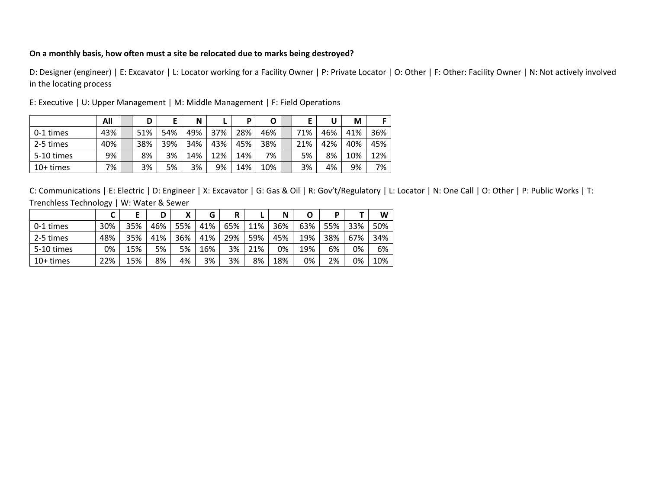## **On <sup>a</sup> monthly basis, how often must <sup>a</sup> site be relocated due to marks being destroyed?**

D: Designer (engineer) | E: Excavator | L: Locator working for <sup>a</sup> Facility Owner | P: Private Locator | O: Other | F: Other: Facility Owner | N: Not actively involved in the locating process

|             | All | D   |     | N   |     | D   | O   |     |     | M   |     |
|-------------|-----|-----|-----|-----|-----|-----|-----|-----|-----|-----|-----|
| 0-1 times   | 43% | 51% | 54% | 49% | 37% | 28% | 46% | 71% | 46% | 41% | 36% |
| 2-5 times   | 40% | 38% | 39% | 34% | 43% | 45% | 38% | 21% | 42% | 40% | 45% |
| 5-10 times  | 9%  | 8%  | 3%  | 14% | 12% | 14% | 7%  | 5%  | 8%  | 10% | 12% |
| $10+$ times | 7%  | 3%  | 5%  | 3%  | 9%  | 14% | 10% | 3%  | 4%  | 9%  | 7%  |

E: Executive | U: Upper Management | M: Middle Management | F: Field Operations

|             |     | E   | D   | x   | G   | R   |     | N   | O   | D   |     | W   |
|-------------|-----|-----|-----|-----|-----|-----|-----|-----|-----|-----|-----|-----|
| 0-1 times   | 30% | 35% | 46% | 55% | 41% | 65% | 11% | 36% | 63% | 55% | 33% | 50% |
| 2-5 times   | 48% | 35% | 41% | 36% | 41% | 29% | 59% | 45% | 19% | 38% | 67% | 34% |
| 5-10 times  | 0%  | 15% | 5%  | 5%  | 16% | 3%  | 21% | 0%  | 19% | 6%  | 0%  | 6%  |
| $10+$ times | 22% | 15% | 8%  | 4%  | 3%  | 3%  | 8%  | 18% | 0%  | 2%  | 0%  | 10% |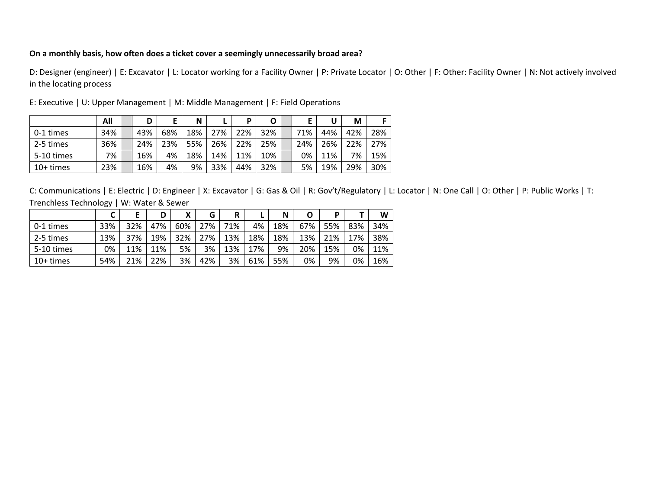## **On <sup>a</sup> monthly basis, how often does <sup>a</sup> ticket cover <sup>a</sup> seemingly unnecessarily broad area?**

D: Designer (engineer) | E: Excavator | L: Locator working for <sup>a</sup> Facility Owner | P: Private Locator | O: Other | F: Other: Facility Owner | N: Not actively involved in the locating process

|             | All | D   | E   | N   |     | D   | O   |     |     | М   |     |
|-------------|-----|-----|-----|-----|-----|-----|-----|-----|-----|-----|-----|
| 0-1 times   | 34% | 43% | 68% | 18% | 27% | 22% | 32% | 71% | 44% | 42% | 28% |
| 2-5 times   | 36% | 24% | 23% | 55% | 26% | 22% | 25% | 24% | 26% | 22% | 27% |
| 5-10 times  | 7%  | 16% | 4%  | 18% | 14% | 11% | 10% | 0%  | 11% | 7%  | 15% |
| $10+$ times | 23% | 16% | 4%  | 9%  | 33% | 44% | 32% | 5%  | 19% | 29% | 30% |

E: Executive | U: Upper Management | M: Middle Management | F: Field Operations

|            |     |     | D   | X   | G   | R   |     | N   | O   | D   |     | W   |
|------------|-----|-----|-----|-----|-----|-----|-----|-----|-----|-----|-----|-----|
| 0-1 times  | 33% | 32% | 47% | 60% | 27% | 71% | 4%  | 18% | 67% | 55% | 83% | 34% |
| 2-5 times  | 13% | 37% | 19% | 32% | 27% | 13% | 18% | 18% | 13% | 21% | 17% | 38% |
| 5-10 times | 0%  | 11% | 11% | 5%  | 3%  | 13% | 17% | 9%  | 20% | 15% | 0%  | 11% |
| 10+ times  | 54% | 21% | 22% | 3%  | 42% | 3%  | 61% | 55% | 0%  | 9%  | 0%  | 16% |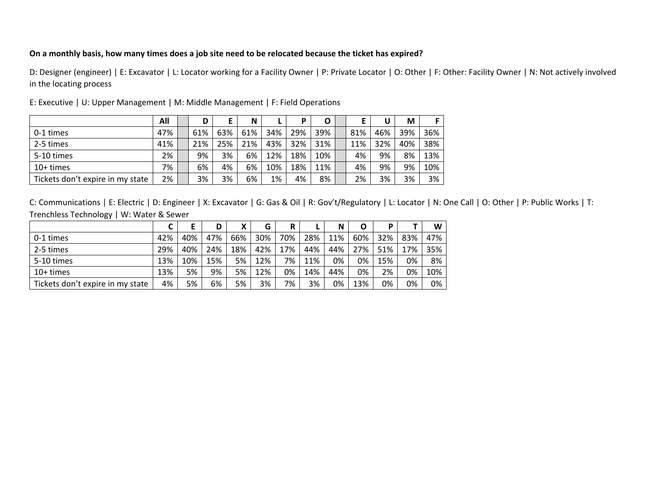## ?On a monthly basis, how many times does a job site need to be relocated because the ticket has expired

D: Designer (engineer) | E: Excavator | L: Locator working for <sup>a</sup> Facility Owner | P: Private Locator | O: Other | F: Other: Facility Owner | N: Not actively involved in the locating process

|                                  | All | D   |     | N   |     | D   | O   |     |     | M   | E.  |
|----------------------------------|-----|-----|-----|-----|-----|-----|-----|-----|-----|-----|-----|
| 0-1 times                        | 47% | 61% | 63% | 61% | 34% | 29% | 39% | 81% | 46% | 39% | 36% |
| 2-5 times                        | 41% | 21% | 25% | 21% | 43% | 32% | 31% | 11% | 32% | 40% | 38% |
| 5-10 times                       | 2%  | 9%  | 3%  | 6%  | 12% | 18% | 10% | 4%  | 9%  | 8%  | 13% |
| $10+$ times                      | 7%  | 6%  | 4%  | 6%  | 10% | 18% | 11% | 4%  | 9%  | 9%  | 10% |
| Tickets don't expire in my state | 2%  | 3%  | 3%  | 6%  | 1%  | 4%  | 8%  | 2%  | 3%  | 3%  | 3%  |

E: Executive | U: Upper Management | M: Middle Management | F: Field Operations

|                                  |     |     | D   | Χ   | G   | R   |     | N   | O   | D   |     | W   |
|----------------------------------|-----|-----|-----|-----|-----|-----|-----|-----|-----|-----|-----|-----|
| 0-1 times                        | 42% | 40% | 47% | 66% | 30% | 70% | 28% | 11% | 60% | 32% | 83% | 47% |
| 2-5 times                        | 29% | 40% | 24% | 18% | 42% | 17% | 44% | 44% | 27% | 51% | 17% | 35% |
| 5-10 times                       | 13% | 10% | 15% | 5%  | 12% | 7%  | 11% | 0%  | 0%  | 15% | 0%  | 8%  |
| $10+$ times                      | 13% | 5%  | 9%  | 5%  | 12% | 0%  | 14% | 44% | 0%  | 2%  | 0%  | 10% |
| Tickets don't expire in my state | 4%  | 5%  | 6%  | 5%  | 3%  | 7%  | 3%  | 0%  | 13% | 0%  | 0%  | 0%  |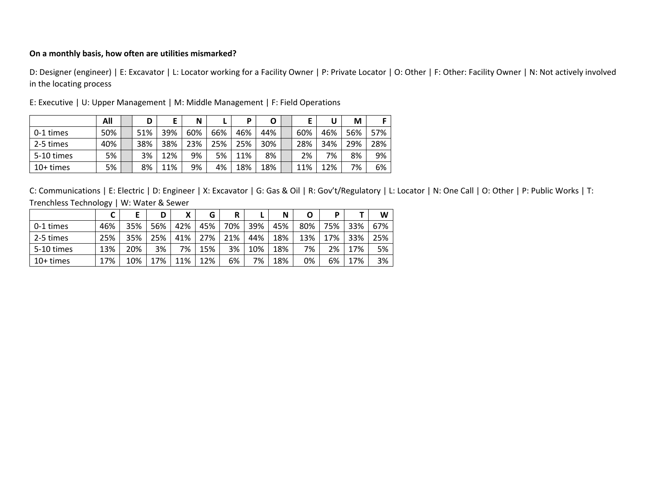## **On <sup>a</sup> monthly basis, how often are utilities mismarked?**

D: Designer (engineer) | E: Excavator | L: Locator working for <sup>a</sup> Facility Owner | P: Private Locator | O: Other | F: Other: Facility Owner | N: Not actively involved in the locating process

|             | All | D   | Е   | N   |     | D   | O   |     | U   | M   |     |
|-------------|-----|-----|-----|-----|-----|-----|-----|-----|-----|-----|-----|
| 0-1 times   | 50% | 51% | 39% | 60% | 66% | 46% | 44% | 60% | 46% | 56% | 57% |
| 2-5 times   | 40% | 38% | 38% | 23% | 25% | 25% | 30% | 28% | 34% | 29% | 28% |
| 5-10 times  | 5%  | 3%  | 12% | 9%  | 5%  | 11% | 8%  | 2%  | 7%  | 8%  | 9%  |
| $10+$ times | 5%  | 8%  | 11% | 9%  | 4%  | 18% | 18% | 11% | 12% | 7%  | 6%  |

E: Executive | U: Upper Management | M: Middle Management | F: Field Operations

|             |     |     | D   | X   | G   | R   |     | N   | O   | D   |     | W   |
|-------------|-----|-----|-----|-----|-----|-----|-----|-----|-----|-----|-----|-----|
| 0-1 times   | 46% | 35% | 56% | 42% | 45% | 70% | 39% | 45% | 80% | 75% | 33% | 67% |
| 2-5 times   | 25% | 35% | 25% | 41% | 27% | 21% | 44% | 18% | 13% | 17% | 33% | 25% |
| 5-10 times  | 13% | 20% | 3%  | 7%  | 15% | 3%  | 10% | 18% | 7%  | 2%  | 17% | 5%  |
| $10+$ times | 17% | 10% | 17% | 11% | 12% | 6%  | 7%  | 18% | 0%  | 6%  | 17% | 3%  |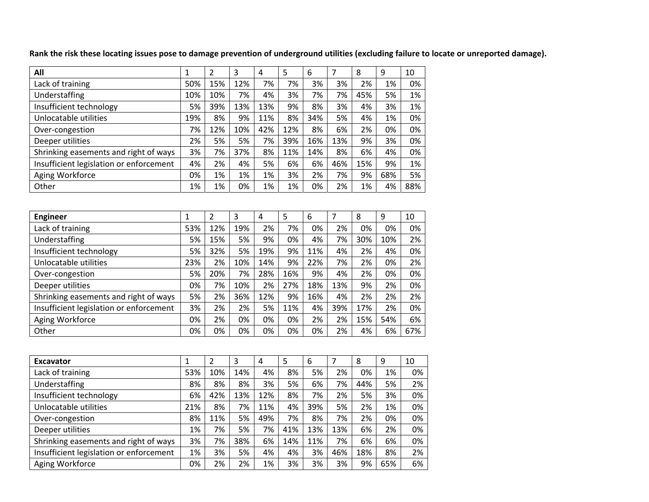| All                                     | $\mathbf{1}$ | $\overline{2}$ | 3   | 4              | 5   | 6   | $\overline{7}$ | 8   | 9   | 10  |
|-----------------------------------------|--------------|----------------|-----|----------------|-----|-----|----------------|-----|-----|-----|
| Lack of training                        | 50%          | 15%            | 12% | 7%             | 7%  | 3%  | 3%             | 2%  | 1%  | 0%  |
| Understaffing                           | 10%          | 10%            | 7%  | 4%             | 3%  | 7%  | 7%             | 45% | 5%  | 1%  |
| Insufficient technology                 | 5%           | 39%            | 13% | 13%            | 9%  | 8%  | 3%             | 4%  | 3%  | 1%  |
| Unlocatable utilities                   | 19%          | 8%             | 9%  | 11%            | 8%  | 34% | 5%             | 4%  | 1%  | 0%  |
| Over-congestion                         | 7%           | 12%            | 10% | 42%            | 12% | 8%  | 6%             | 2%  | 0%  | 0%  |
| Deeper utilities                        | 2%           | 5%             | 5%  | 7%             | 39% | 16% | 13%            | 9%  | 3%  | 0%  |
| Shrinking easements and right of ways   | 3%           | 7%             | 37% | 8%             | 11% | 14% | 8%             | 6%  | 4%  | 0%  |
| Insufficient legislation or enforcement | 4%           | 2%             | 4%  | 5%             | 6%  | 6%  | 46%            | 15% | 9%  | 1%  |
| Aging Workforce                         | 0%           | 1%             | 1%  | 1%             | 3%  | 2%  | 7%             | 9%  | 68% | 5%  |
| Other                                   | 1%           | 1%             | 0%  | 1%             | 1%  | 0%  | 2%             | 1%  | 4%  | 88% |
|                                         |              |                |     |                |     |     |                |     |     |     |
| <b>Engineer</b>                         | $\mathbf{1}$ | $\overline{2}$ | 3   | $\overline{4}$ | 5   | 6   | $\overline{7}$ | 8   | 9   | 10  |
| Lack of training                        | 53%          | 12%            | 19% | 2%             | 7%  | 0%  | 2%             | 0%  | 0%  | 0%  |
| Understaffing                           | 5%           | 15%            | 5%  | 9%             | 0%  | 4%  | 7%             | 30% | 10% | 2%  |
| Insufficient technology                 | 5%           | 32%            | 5%  | 19%            | 9%  | 11% | 4%             | 2%  | 4%  | 0%  |
| Unlocatable utilities                   | 23%          | 2%             | 10% | 14%            | 9%  | 22% | 7%             | 2%  | 0%  | 2%  |
| Over-congestion                         | 5%           | 20%            | 7%  | 28%            | 16% | 9%  | 4%             | 2%  | 0%  | 0%  |
| Deeper utilities                        | 0%           | 7%             | 10% | 2%             | 27% | 18% | 13%            | 9%  | 2%  | 0%  |
| Shrinking easements and right of ways   | 5%           | 2%             | 36% | 12%            | 9%  | 16% | 4%             | 2%  | 2%  | 2%  |
| Insufficient legislation or enforcement | 3%           | 2%             | 2%  | 5%             | 11% | 4%  | 39%            | 17% | 2%  | 0%  |
| Aging Workforce                         | 0%           | 2%             | 0%  | 0%             | 0%  | 2%  | 2%             | 15% | 54% | 6%  |
| Other                                   | 0%           | 0%             | 0%  | 0%             | 0%  | 0%  | 2%             | 4%  | 6%  | 67% |
|                                         |              |                |     |                |     |     |                |     |     |     |
| <b>Excavator</b>                        | $\mathbf{1}$ | $\overline{2}$ | 3   | $\overline{4}$ | 5   | 6   | $\overline{7}$ | 8   | 9   | 10  |
| Lack of training                        | 53%          | 10%            | 14% | 4%             | 8%  | 5%  | 2%             | 0%  | 1%  | 0%  |
| Understaffing                           | 8%           | 8%             | 8%  | 3%             | 5%  | 6%  | 7%             | 44% | 5%  | 2%  |
| Insufficient technology                 | 6%           | 42%            | 13% | 12%            | 8%  | 7%  | 2%             | 5%  | 3%  | 0%  |
| Unlocatable utilities                   | 21%          | 8%             | 7%  | 11%            | 4%  | 39% | 5%             | 2%  | 1%  | 0%  |
| Over-congestion                         | 8%           | 11%            | 5%  | 49%            | 7%  | 8%  | 7%             | 2%  | 0%  | 0%  |
| Deeper utilities                        | 1%           | 7%             | 5%  | 7%             | 41% | 13% | 13%            | 6%  | 2%  | 0%  |

Rank the risk these locating issues pose to damage prevention of underground utilities (excluding failure to locate or unreported damage).

| Understaffing                           | 5%  | 15% | 5%  | 9%  | 0%  | 4%  | 7%  | 30% | 10% | 2%  |
|-----------------------------------------|-----|-----|-----|-----|-----|-----|-----|-----|-----|-----|
| Insufficient technology                 | 5%  | 32% | 5%  | 19% | 9%  | 11% | 4%  | 2%  | 4%  | 0%  |
| Unlocatable utilities                   | 23% | 2%  | 10% | 14% | 9%  | 22% | 7%  | 2%  | 0%  | 2%  |
| Over-congestion                         | 5%  | 20% | 7%  | 28% | 16% | 9%  | 4%  | 2%  | 0%  | 0%  |
| Deeper utilities                        | 0%  | 7%  | 10% | 2%  | 27% | 18% | 13% | 9%  | 2%  | 0%  |
| Shrinking easements and right of ways   | 5%  | 2%  | 36% | 12% | 9%  | 16% | 4%  | 2%  | 2%  | 2%  |
| Insufficient legislation or enforcement | 3%  | 2%  | 2%  | 5%  | 11% | 4%  | 39% | 17% | 2%  | 0%  |
| Aging Workforce                         | 0%  | 2%  | 0%  | 0%  | 0%  | 2%  | 2%  | 15% | 54% | 6%  |
| Other                                   | 0%  | 0%  | 0%  | 0%  | 0%  | 0%  | 2%  | 4%  | 6%  | 67% |
|                                         |     |     |     |     |     |     |     |     |     |     |
|                                         |     |     |     |     |     |     |     |     |     |     |
| <b>Excavator</b>                        | 1   | 2   | 3   | 4   | 5   | 6   | 7   | 8   | 9   | 10  |
|                                         |     |     |     |     |     |     |     |     |     |     |

| Lack of training                        | 53% | 10% | 14% | 4%  | 8%  | 5%  | 2%  | 0%  | 1%  | 0% |
|-----------------------------------------|-----|-----|-----|-----|-----|-----|-----|-----|-----|----|
| Understaffing                           | 8%  | 8%  | 8%  | 3%  | 5%  | 6%  | 7%  | 44% | 5%  | 2% |
| Insufficient technology                 | 6%  | 42% | 13% | 12% | 8%  | 7%  | 2%  | 5%  | 3%  | 0% |
| Unlocatable utilities                   | 21% | 8%  | 7%  | 11% | 4%  | 39% | 5%  | 2%  | 1%  | 0% |
| Over-congestion                         | 8%  | 11% | 5%  | 49% | 7%  | 8%  | 7%  | 2%  | 0%  | 0% |
| Deeper utilities                        | 1%  | 7%  | 5%  | 7%  | 41% | 13% | 13% | 6%  | 2%  | 0% |
| Shrinking easements and right of ways   | 3%  | 7%  | 38% | 6%  | 14% | 11% | 7%  | 6%  | 6%  | 0% |
| Insufficient legislation or enforcement | 1%  | 3%  | 5%  | 4%  | 4%  | 3%  | 46% | 18% | 8%  | 2% |
| Aging Workforce                         | 0%  | 2%  | 2%  | 1%  | 3%  | 3%  | 3%  | 9%  | 65% | 6% |
|                                         |     |     |     |     |     |     |     |     |     |    |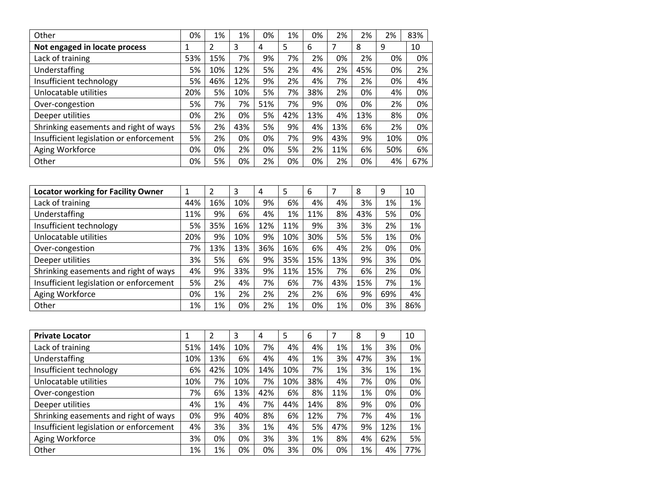| Other                                   | 0%  | 1%  | 1%  | 0%  | 1%  | 0%  | 2%  | 2%  | 2%  | 83% |
|-----------------------------------------|-----|-----|-----|-----|-----|-----|-----|-----|-----|-----|
| Not engaged in locate process           | 1   | 2   | 3   | 4   | 5   | 6   | 7   | 8   | 9   | 10  |
| Lack of training                        | 53% | 15% | 7%  | 9%  | 7%  | 2%  | 0%  | 2%  | 0%  | 0%  |
| Understaffing                           | 5%  | 10% | 12% | 5%  | 2%  | 4%  | 2%  | 45% | 0%  | 2%  |
| Insufficient technology                 | 5%  | 46% | 12% | 9%  | 2%  | 4%  | 7%  | 2%  | 0%  | 4%  |
| Unlocatable utilities                   | 20% | 5%  | 10% | 5%  | 7%  | 38% | 2%  | 0%  | 4%  | 0%  |
| Over-congestion                         | 5%  | 7%  | 7%  | 51% | 7%  | 9%  | 0%  | 0%  | 2%  | 0%  |
| Deeper utilities                        | 0%  | 2%  | 0%  | 5%  | 42% | 13% | 4%  | 13% | 8%  | 0%  |
| Shrinking easements and right of ways   | 5%  | 2%  | 43% | 5%  | 9%  | 4%  | 13% | 6%  | 2%  | 0%  |
| Insufficient legislation or enforcement | 5%  | 2%  | 0%  | 0%  | 7%  | 9%  | 43% | 9%  | 10% | 0%  |
| Aging Workforce                         | 0%  | 0%  | 2%  | 0%  | 5%  | 2%  | 11% | 6%  | 50% | 6%  |
| Other                                   | 0%  | 5%  | 0%  | 2%  | 0%  | 0%  | 2%  | 0%  | 4%  | 67% |

| <b>Locator working for Facility Owner</b> | 1   | 2   | 3   | 4   | 5   | 6   |     | 8   | 9   | 10  |
|-------------------------------------------|-----|-----|-----|-----|-----|-----|-----|-----|-----|-----|
| Lack of training                          | 44% | 16% | 10% | 9%  | 6%  | 4%  | 4%  | 3%  | 1%  | 1%  |
| Understaffing                             | 11% | 9%  | 6%  | 4%  | 1%  | 11% | 8%  | 43% | 5%  | 0%  |
| Insufficient technology                   | 5%  | 35% | 16% | 12% | 11% | 9%  | 3%  | 3%  | 2%  | 1%  |
| Unlocatable utilities                     | 20% | 9%  | 10% | 9%  | 10% | 30% | 5%  | 5%  | 1%  | 0%  |
| Over-congestion                           | 7%  | 13% | 13% | 36% | 16% | 6%  | 4%  | 2%  | 0%  | 0%  |
| Deeper utilities                          | 3%  | 5%  | 6%  | 9%  | 35% | 15% | 13% | 9%  | 3%  | 0%  |
| Shrinking easements and right of ways     | 4%  | 9%  | 33% | 9%  | 11% | 15% | 7%  | 6%  | 2%  | 0%  |
| Insufficient legislation or enforcement   | 5%  | 2%  | 4%  | 7%  | 6%  | 7%  | 43% | 15% | 7%  | 1%  |
| Aging Workforce                           | 0%  | 1%  | 2%  | 2%  | 2%  | 2%  | 6%  | 9%  | 69% | 4%  |
| Other                                     | 1%  | 1%  | 0%  | 2%  | 1%  | 0%  | 1%  | 0%  | 3%  | 86% |

| <b>Private Locator</b>                  | 1   | $\overline{2}$ | 3   | 4   | 5   | 6   | 7   | 8   | 9   | 10  |
|-----------------------------------------|-----|----------------|-----|-----|-----|-----|-----|-----|-----|-----|
| Lack of training                        | 51% | 14%            | 10% | 7%  | 4%  | 4%  | 1%  | 1%  | 3%  | 0%  |
| Understaffing                           | 10% | 13%            | 6%  | 4%  | 4%  | 1%  | 3%  | 47% | 3%  | 1%  |
| Insufficient technology                 | 6%  | 42%            | 10% | 14% | 10% | 7%  | 1%  | 3%  | 1%  | 1%  |
| Unlocatable utilities                   | 10% | 7%             | 10% | 7%  | 10% | 38% | 4%  | 7%  | 0%  | 0%  |
| Over-congestion                         | 7%  | 6%             | 13% | 42% | 6%  | 8%  | 11% | 1%  | 0%  | 0%  |
| Deeper utilities                        | 4%  | 1%             | 4%  | 7%  | 44% | 14% | 8%  | 9%  | 0%  | 0%  |
| Shrinking easements and right of ways   | 0%  | 9%             | 40% | 8%  | 6%  | 12% | 7%  | 7%  | 4%  | 1%  |
| Insufficient legislation or enforcement | 4%  | 3%             | 3%  | 1%  | 4%  | 5%  | 47% | 9%  | 12% | 1%  |
| Aging Workforce                         | 3%  | 0%             | 0%  | 3%  | 3%  | 1%  | 8%  | 4%  | 62% | 5%  |
| Other                                   | 1%  | 1%             | 0%  | 0%  | 3%  | 0%  | 0%  | 1%  | 4%  | 77% |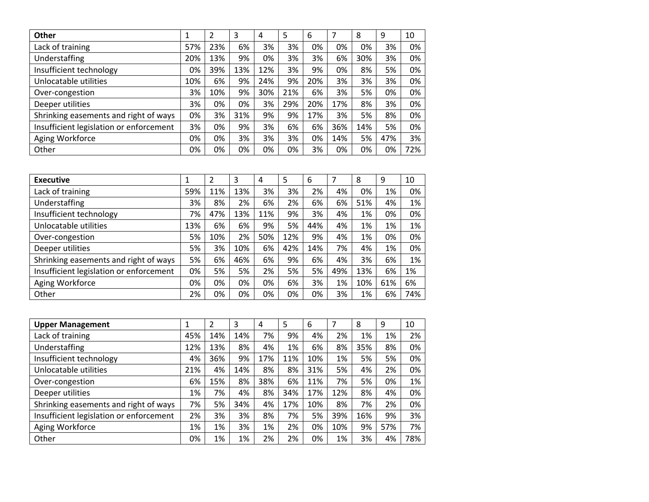| Other                                   | 1   | 2   | 3   | 4   | 5   | 6   | 7   | 8   | 9   | 10  |
|-----------------------------------------|-----|-----|-----|-----|-----|-----|-----|-----|-----|-----|
| Lack of training                        | 57% | 23% | 6%  | 3%  | 3%  | 0%  | 0%  | 0%  | 3%  | 0%  |
| Understaffing                           | 20% | 13% | 9%  | 0%  | 3%  | 3%  | 6%  | 30% | 3%  | 0%  |
| Insufficient technology                 | 0%  | 39% | 13% | 12% | 3%  | 9%  | 0%  | 8%  | 5%  | 0%  |
| Unlocatable utilities                   | 10% | 6%  | 9%  | 24% | 9%  | 20% | 3%  | 3%  | 3%  | 0%  |
| Over-congestion                         | 3%  | 10% | 9%  | 30% | 21% | 6%  | 3%  | 5%  | 0%  | 0%  |
| Deeper utilities                        | 3%  | 0%  | 0%  | 3%  | 29% | 20% | 17% | 8%  | 3%  | 0%  |
| Shrinking easements and right of ways   | 0%  | 3%  | 31% | 9%  | 9%  | 17% | 3%  | 5%  | 8%  | 0%  |
| Insufficient legislation or enforcement | 3%  | 0%  | 9%  | 3%  | 6%  | 6%  | 36% | 14% | 5%  | 0%  |
| Aging Workforce                         | 0%  | 0%  | 3%  | 3%  | 3%  | 0%  | 14% | 5%  | 47% | 3%  |
| Other                                   | 0%  | 0%  | 0%  | 0%  | 0%  | 3%  | 0%  | 0%  | 0%  | 72% |

| <b>Executive</b>                        | 1   | 2   | 3   | 4   | 5   | 6   |     | 8   | 9   | 10  |
|-----------------------------------------|-----|-----|-----|-----|-----|-----|-----|-----|-----|-----|
| Lack of training                        | 59% | 11% | 13% | 3%  | 3%  | 2%  | 4%  | 0%  | 1%  | 0%  |
| Understaffing                           | 3%  | 8%  | 2%  | 6%  | 2%  | 6%  | 6%  | 51% | 4%  | 1%  |
| Insufficient technology                 | 7%  | 47% | 13% | 11% | 9%  | 3%  | 4%  | 1%  | 0%  | 0%  |
| Unlocatable utilities                   | 13% | 6%  | 6%  | 9%  | 5%  | 44% | 4%  | 1%  | 1%  | 1%  |
| Over-congestion                         | 5%  | 10% | 2%  | 50% | 12% | 9%  | 4%  | 1%  | 0%  | 0%  |
| Deeper utilities                        | 5%  | 3%  | 10% | 6%  | 42% | 14% | 7%  | 4%  | 1%  | 0%  |
| Shrinking easements and right of ways   | 5%  | 6%  | 46% | 6%  | 9%  | 6%  | 4%  | 3%  | 6%  | 1%  |
| Insufficient legislation or enforcement | 0%  | 5%  | 5%  | 2%  | 5%  | 5%  | 49% | 13% | 6%  | 1%  |
| Aging Workforce                         | 0%  | 0%  | 0%  | 0%  | 6%  | 3%  | 1%  | 10% | 61% | 6%  |
| Other                                   | 2%  | 0%  | 0%  | 0%  | 0%  | 0%  | 3%  | 1%  | 6%  | 74% |

| <b>Upper Management</b>                 | 1   | 2   | 3   | 4   | 5   | 6   |     | 8   | 9   | 10  |
|-----------------------------------------|-----|-----|-----|-----|-----|-----|-----|-----|-----|-----|
| Lack of training                        | 45% | 14% | 14% | 7%  | 9%  | 4%  | 2%  | 1%  | 1%  | 2%  |
| Understaffing                           | 12% | 13% | 8%  | 4%  | 1%  | 6%  | 8%  | 35% | 8%  | 0%  |
| Insufficient technology                 | 4%  | 36% | 9%  | 17% | 11% | 10% | 1%  | 5%  | 5%  | 0%  |
| Unlocatable utilities                   | 21% | 4%  | 14% | 8%  | 8%  | 31% | 5%  | 4%  | 2%  | 0%  |
| Over-congestion                         | 6%  | 15% | 8%  | 38% | 6%  | 11% | 7%  | 5%  | 0%  | 1%  |
| Deeper utilities                        | 1%  | 7%  | 4%  | 8%  | 34% | 17% | 12% | 8%  | 4%  | 0%  |
| Shrinking easements and right of ways   | 7%  | 5%  | 34% | 4%  | 17% | 10% | 8%  | 7%  | 2%  | 0%  |
| Insufficient legislation or enforcement | 2%  | 3%  | 3%  | 8%  | 7%  | 5%  | 39% | 16% | 9%  | 3%  |
| Aging Workforce                         | 1%  | 1%  | 3%  | 1%  | 2%  | 0%  | 10% | 9%  | 57% | 7%  |
| Other                                   | 0%  | 1%  | 1%  | 2%  | 2%  | 0%  | 1%  | 3%  | 4%  | 78% |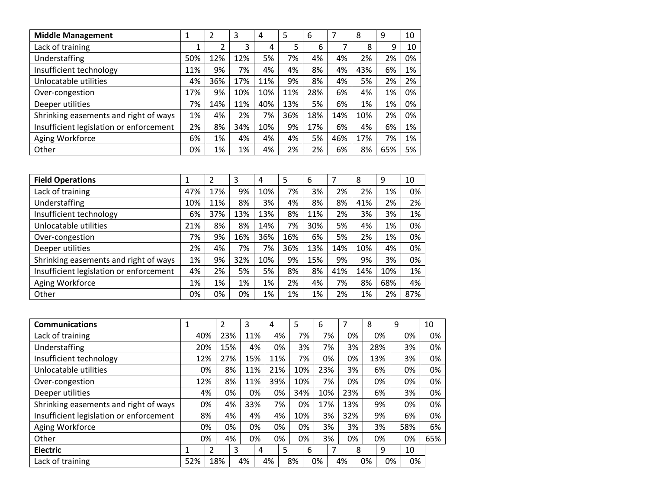| <b>Middle Management</b>                | 1   | 2   | 3   | 4   | 5   | 6   |     | 8   | 9   | 10 |
|-----------------------------------------|-----|-----|-----|-----|-----|-----|-----|-----|-----|----|
| Lack of training                        | 1   | 2   | 3   | 4   | 5   | 6   | 7   | 8   | 9   | 10 |
| <b>Understaffing</b>                    | 50% | 12% | 12% | 5%  | 7%  | 4%  | 4%  | 2%  | 2%  | 0% |
| Insufficient technology                 | 11% | 9%  | 7%  | 4%  | 4%  | 8%  | 4%  | 43% | 6%  | 1% |
| Unlocatable utilities                   | 4%  | 36% | 17% | 11% | 9%  | 8%  | 4%  | 5%  | 2%  | 2% |
| Over-congestion                         | 17% | 9%  | 10% | 10% | 11% | 28% | 6%  | 4%  | 1%  | 0% |
| Deeper utilities                        | 7%  | 14% | 11% | 40% | 13% | 5%  | 6%  | 1%  | 1%  | 0% |
| Shrinking easements and right of ways   | 1%  | 4%  | 2%  | 7%  | 36% | 18% | 14% | 10% | 2%  | 0% |
| Insufficient legislation or enforcement | 2%  | 8%  | 34% | 10% | 9%  | 17% | 6%  | 4%  | 6%  | 1% |
| Aging Workforce                         | 6%  | 1%  | 4%  | 4%  | 4%  | 5%  | 46% | 17% | 7%  | 1% |
| Other                                   | 0%  | 1%  | 1%  | 4%  | 2%  | 2%  | 6%  | 8%  | 65% | 5% |

| <b>Field Operations</b>                 | 1   | 2   | 3   | 4   | 5   | 6   | 7   | 8   | 9   | 10  |
|-----------------------------------------|-----|-----|-----|-----|-----|-----|-----|-----|-----|-----|
| Lack of training                        | 47% | 17% | 9%  | 10% | 7%  | 3%  | 2%  | 2%  | 1%  | 0%  |
| Understaffing                           | 10% | 11% | 8%  | 3%  | 4%  | 8%  | 8%  | 41% | 2%  | 2%  |
| Insufficient technology                 | 6%  | 37% | 13% | 13% | 8%  | 11% | 2%  | 3%  | 3%  | 1%  |
| Unlocatable utilities                   | 21% | 8%  | 8%  | 14% | 7%  | 30% | 5%  | 4%  | 1%  | 0%  |
| Over-congestion                         | 7%  | 9%  | 16% | 36% | 16% | 6%  | 5%  | 2%  | 1%  | 0%  |
| Deeper utilities                        | 2%  | 4%  | 7%  | 7%  | 36% | 13% | 14% | 10% | 4%  | 0%  |
| Shrinking easements and right of ways   | 1%  | 9%  | 32% | 10% | 9%  | 15% | 9%  | 9%  | 3%  | 0%  |
| Insufficient legislation or enforcement | 4%  | 2%  | 5%  | 5%  | 8%  | 8%  | 41% | 14% | 10% | 1%  |
| Aging Workforce                         | 1%  | 1%  | 1%  | 1%  | 2%  | 4%  | 7%  | 8%  | 68% | 4%  |
| Other                                   | 0%  | 0%  | 0%  | 1%  | 1%  | 1%  | 2%  | 1%  | 2%  | 87% |

| <b>Communications</b>                   | 1           |     | 2   | 3   | 4  |     | 5   | 6  |     |     |    | 8   |    | 9   | 10  |
|-----------------------------------------|-------------|-----|-----|-----|----|-----|-----|----|-----|-----|----|-----|----|-----|-----|
| Lack of training                        | 40%         |     | 23% | 11% |    | 4%  | 7%  |    | 7%  |     | 0% |     | 0% | 0%  | 0%  |
| Understaffing                           | 20%         |     | 15% | 4%  |    | 0%  | 3%  |    | 7%  |     | 3% | 28% |    | 3%  | 0%  |
| Insufficient technology                 | 12%         |     | 27% | 15% |    | 11% | 7%  |    | 0%  |     | 0% | 13% |    | 3%  | 0%  |
| Unlocatable utilities                   |             | 0%  | 8%  | 11% |    | 21% | 10% |    | 23% |     | 3% |     | 6% | 0%  | 0%  |
| Over-congestion                         | 12%         |     | 8%  | 11% |    | 39% | 10% |    | 7%  |     | 0% |     | 0% | 0%  | 0%  |
| Deeper utilities                        |             | 4%  | 0%  | 0%  |    | 0%  | 34% |    | 10% | 23% |    |     | 6% | 3%  | 0%  |
| Shrinking easements and right of ways   |             | 0%  | 4%  | 33% |    | 7%  | 0%  |    | 17% | 13% |    |     | 9% | 0%  | 0%  |
| Insufficient legislation or enforcement |             | 8%  | 4%  | 4%  |    | 4%  | 10% |    | 3%  | 32% |    |     | 9% | 6%  | 0%  |
| Aging Workforce                         |             | 0%  | 0%  | 0%  |    | 0%  | 0%  |    | 3%  |     | 3% |     | 3% | 58% | 6%  |
| Other                                   |             | 0%  | 4%  | 0%  |    | 0%  | 0%  |    | 3%  |     | 0% |     | 0% | 0%  | 65% |
| <b>Electric</b>                         | $\mathbf 1$ | 2   | 3   |     | 4  | 5   |     | 6  | 7   |     | 8  |     | 9  | 10  |     |
| Lack of training                        | 52%         | 18% |     | 4%  | 4% |     | 8%  | 0% |     | 4%  |    | 0%  | 0% | 0%  |     |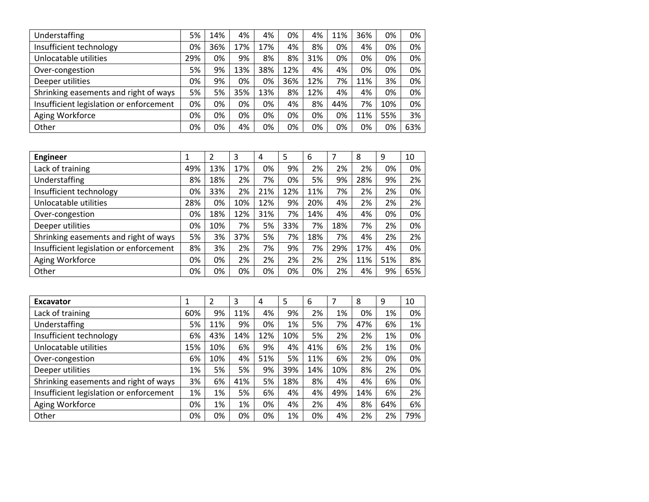| Understaffing                           | 5%  | 14% | 4%  | 4%  | 0%  | 4%  | 11% | 36% | 0%  | 0%  |
|-----------------------------------------|-----|-----|-----|-----|-----|-----|-----|-----|-----|-----|
| Insufficient technology                 | 0%  | 36% | 17% | 17% | 4%  | 8%  | 0%  | 4%  | 0%  | 0%  |
| Unlocatable utilities                   | 29% | 0%  | 9%  | 8%  | 8%  | 31% | 0%  | 0%  | 0%  | 0%  |
| Over-congestion                         | 5%  | 9%  | 13% | 38% | 12% | 4%  | 4%  | 0%  | 0%  | 0%  |
| Deeper utilities                        | 0%  | 9%  | 0%  | 0%  | 36% | 12% | 7%  | 11% | 3%  | 0%  |
| Shrinking easements and right of ways   | 5%  | 5%  | 35% | 13% | 8%  | 12% | 4%  | 4%  | 0%  | 0%  |
| Insufficient legislation or enforcement | 0%  | 0%  | 0%  | 0%  | 4%  | 8%  | 44% | 7%  | 10% | 0%  |
| Aging Workforce                         | 0%  | 0%  | 0%  | 0%  | 0%  | 0%  | 0%  | 11% | 55% | 3%  |
| Other                                   | 0%  | 0%  | 4%  | 0%  | 0%  | 0%  | 0%  | 0%  | 0%  | 63% |

| <b>Engineer</b>                         | 1   | 2   | 3   | 4   | 5   | 6   |     | 8   | 9   | 10  |
|-----------------------------------------|-----|-----|-----|-----|-----|-----|-----|-----|-----|-----|
| Lack of training                        | 49% | 13% | 17% | 0%  | 9%  | 2%  | 2%  | 2%  | 0%  | 0%  |
| Understaffing                           | 8%  | 18% | 2%  | 7%  | 0%  | 5%  | 9%  | 28% | 9%  | 2%  |
| Insufficient technology                 | 0%  | 33% | 2%  | 21% | 12% | 11% | 7%  | 2%  | 2%  | 0%  |
| Unlocatable utilities                   | 28% | 0%  | 10% | 12% | 9%  | 20% | 4%  | 2%  | 2%  | 2%  |
| Over-congestion                         | 0%  | 18% | 12% | 31% | 7%  | 14% | 4%  | 4%  | 0%  | 0%  |
| Deeper utilities                        | 0%  | 10% | 7%  | 5%  | 33% | 7%  | 18% | 7%  | 2%  | 0%  |
| Shrinking easements and right of ways   | 5%  | 3%  | 37% | 5%  | 7%  | 18% | 7%  | 4%  | 2%  | 2%  |
| Insufficient legislation or enforcement | 8%  | 3%  | 2%  | 7%  | 9%  | 7%  | 29% | 17% | 4%  | 0%  |
| Aging Workforce                         | 0%  | 0%  | 2%  | 2%  | 2%  | 2%  | 2%  | 11% | 51% | 8%  |
| Other                                   | 0%  | 0%  | 0%  | 0%  | 0%  | 0%  | 2%  | 4%  | 9%  | 65% |

| <b>Excavator</b>                        | 1   | 2   | 3   | 4   | 5   | 6   |     | 8   | 9   | 10  |
|-----------------------------------------|-----|-----|-----|-----|-----|-----|-----|-----|-----|-----|
| Lack of training                        | 60% | 9%  | 11% | 4%  | 9%  | 2%  | 1%  | 0%  | 1%  | 0%  |
| Understaffing                           | 5%  | 11% | 9%  | 0%  | 1%  | 5%  | 7%  | 47% | 6%  | 1%  |
| Insufficient technology                 | 6%  | 43% | 14% | 12% | 10% | 5%  | 2%  | 2%  | 1%  | 0%  |
| Unlocatable utilities                   | 15% | 10% | 6%  | 9%  | 4%  | 41% | 6%  | 2%  | 1%  | 0%  |
| Over-congestion                         | 6%  | 10% | 4%  | 51% | 5%  | 11% | 6%  | 2%  | 0%  | 0%  |
| Deeper utilities                        | 1%  | 5%  | 5%  | 9%  | 39% | 14% | 10% | 8%  | 2%  | 0%  |
| Shrinking easements and right of ways   | 3%  | 6%  | 41% | 5%  | 18% | 8%  | 4%  | 4%  | 6%  | 0%  |
| Insufficient legislation or enforcement | 1%  | 1%  | 5%  | 6%  | 4%  | 4%  | 49% | 14% | 6%  | 2%  |
| Aging Workforce                         | 0%  | 1%  | 1%  | 0%  | 4%  | 2%  | 4%  | 8%  | 64% | 6%  |
| Other                                   | 0%  | 0%  | 0%  | 0%  | 1%  | 0%  | 4%  | 2%  | 2%  | 79% |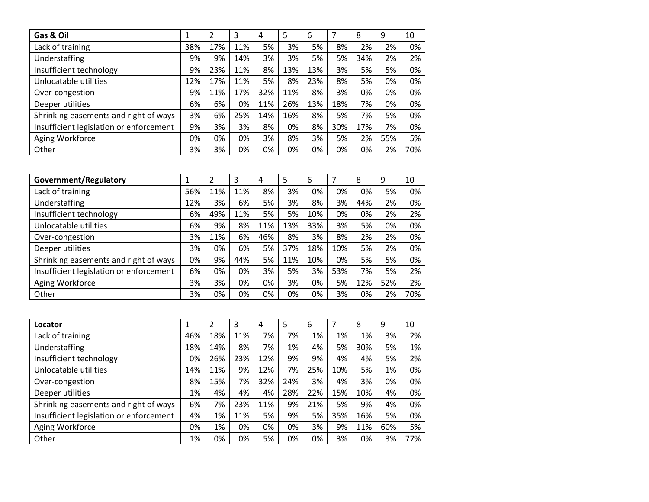| Gas & Oil                               | 1   | 2   | 3   | 4   | 5   | 6   | 7   | 8   | 9   | 10  |
|-----------------------------------------|-----|-----|-----|-----|-----|-----|-----|-----|-----|-----|
| Lack of training                        | 38% | 17% | 11% | 5%  | 3%  | 5%  | 8%  | 2%  | 2%  | 0%  |
| Understaffing                           | 9%  | 9%  | 14% | 3%  | 3%  | 5%  | 5%  | 34% | 2%  | 2%  |
| Insufficient technology                 | 9%  | 23% | 11% | 8%  | 13% | 13% | 3%  | 5%  | 5%  | 0%  |
| Unlocatable utilities                   | 12% | 17% | 11% | 5%  | 8%  | 23% | 8%  | 5%  | 0%  | 0%  |
| Over-congestion                         | 9%  | 11% | 17% | 32% | 11% | 8%  | 3%  | 0%  | 0%  | 0%  |
| Deeper utilities                        | 6%  | 6%  | 0%  | 11% | 26% | 13% | 18% | 7%  | 0%  | 0%  |
| Shrinking easements and right of ways   | 3%  | 6%  | 25% | 14% | 16% | 8%  | 5%  | 7%  | 5%  | 0%  |
| Insufficient legislation or enforcement | 9%  | 3%  | 3%  | 8%  | 0%  | 8%  | 30% | 17% | 7%  | 0%  |
| Aging Workforce                         | 0%  | 0%  | 0%  | 3%  | 8%  | 3%  | 5%  | 2%  | 55% | 5%  |
| Other                                   | 3%  | 3%  | 0%  | 0%  | 0%  | 0%  | 0%  | 0%  | 2%  | 70% |

| Government/Regulatory                   |     | $\overline{2}$ | 3   | 4   | 5   | 6   |     | 8   | 9   | 10  |
|-----------------------------------------|-----|----------------|-----|-----|-----|-----|-----|-----|-----|-----|
| Lack of training                        | 56% | 11%            | 11% | 8%  | 3%  | 0%  | 0%  | 0%  | 5%  | 0%  |
| Understaffing                           | 12% | 3%             | 6%  | 5%  | 3%  | 8%  | 3%  | 44% | 2%  | 0%  |
| Insufficient technology                 | 6%  | 49%            | 11% | 5%  | 5%  | 10% | 0%  | 0%  | 2%  | 2%  |
| Unlocatable utilities                   | 6%  | 9%             | 8%  | 11% | 13% | 33% | 3%  | 5%  | 0%  | 0%  |
| Over-congestion                         | 3%  | 11%            | 6%  | 46% | 8%  | 3%  | 8%  | 2%  | 2%  | 0%  |
| Deeper utilities                        | 3%  | 0%             | 6%  | 5%  | 37% | 18% | 10% | 5%  | 2%  | 0%  |
| Shrinking easements and right of ways   | 0%  | 9%             | 44% | 5%  | 11% | 10% | 0%  | 5%  | 5%  | 0%  |
| Insufficient legislation or enforcement | 6%  | 0%             | 0%  | 3%  | 5%  | 3%  | 53% | 7%  | 5%  | 2%  |
| Aging Workforce                         | 3%  | 3%             | 0%  | 0%  | 3%  | 0%  | 5%  | 12% | 52% | 2%  |
| Other                                   | 3%  | 0%             | 0%  | 0%  | 0%  | 0%  | 3%  | 0%  | 2%  | 70% |

| Locator                                 | 1   | 2   | 3   | 4   | 5   | 6   |     | 8   | 9   | 10  |
|-----------------------------------------|-----|-----|-----|-----|-----|-----|-----|-----|-----|-----|
| Lack of training                        | 46% | 18% | 11% | 7%  | 7%  | 1%  | 1%  | 1%  | 3%  | 2%  |
| Understaffing                           | 18% | 14% | 8%  | 7%  | 1%  | 4%  | 5%  | 30% | 5%  | 1%  |
| Insufficient technology                 | 0%  | 26% | 23% | 12% | 9%  | 9%  | 4%  | 4%  | 5%  | 2%  |
| Unlocatable utilities                   | 14% | 11% | 9%  | 12% | 7%  | 25% | 10% | 5%  | 1%  | 0%  |
| Over-congestion                         | 8%  | 15% | 7%  | 32% | 24% | 3%  | 4%  | 3%  | 0%  | 0%  |
| Deeper utilities                        | 1%  | 4%  | 4%  | 4%  | 28% | 22% | 15% | 10% | 4%  | 0%  |
| Shrinking easements and right of ways   | 6%  | 7%  | 23% | 11% | 9%  | 21% | 5%  | 9%  | 4%  | 0%  |
| Insufficient legislation or enforcement | 4%  | 1%  | 11% | 5%  | 9%  | 5%  | 35% | 16% | 5%  | 0%  |
| Aging Workforce                         | 0%  | 1%  | 0%  | 0%  | 0%  | 3%  | 9%  | 11% | 60% | 5%  |
| Other                                   | 1%  | 0%  | 0%  | 5%  | 0%  | 0%  | 3%  | 0%  | 3%  | 77% |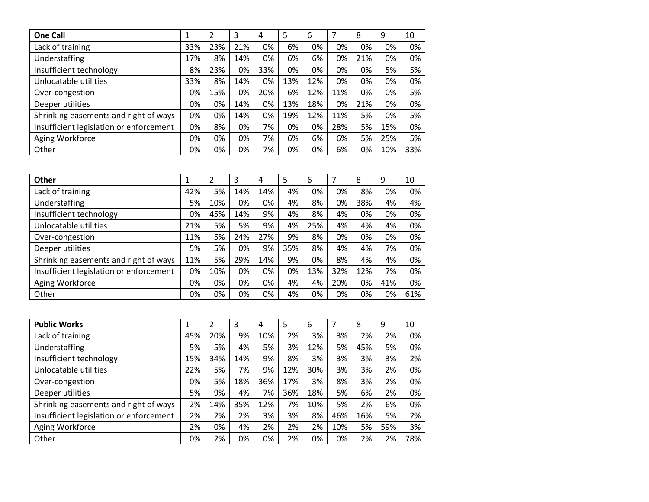| <b>One Call</b>                         | 1   | 2   | 3   | 4   | 5   | 6   |     | 8   | 9   | 10  |
|-----------------------------------------|-----|-----|-----|-----|-----|-----|-----|-----|-----|-----|
| Lack of training                        | 33% | 23% | 21% | 0%  | 6%  | 0%  | 0%  | 0%  | 0%  | 0%  |
| Understaffing                           | 17% | 8%  | 14% | 0%  | 6%  | 6%  | 0%  | 21% | 0%  | 0%  |
| Insufficient technology                 | 8%  | 23% | 0%  | 33% | 0%  | 0%  | 0%  | 0%  | 5%  | 5%  |
| Unlocatable utilities                   | 33% | 8%  | 14% | 0%  | 13% | 12% | 0%  | 0%  | 0%  | 0%  |
| Over-congestion                         | 0%  | 15% | 0%  | 20% | 6%  | 12% | 11% | 0%  | 0%  | 5%  |
| Deeper utilities                        | 0%  | 0%  | 14% | 0%  | 13% | 18% | 0%  | 21% | 0%  | 0%  |
| Shrinking easements and right of ways   | 0%  | 0%  | 14% | 0%  | 19% | 12% | 11% | 5%  | 0%  | 5%  |
| Insufficient legislation or enforcement | 0%  | 8%  | 0%  | 7%  | 0%  | 0%  | 28% | 5%  | 15% | 0%  |
| Aging Workforce                         | 0%  | 0%  | 0%  | 7%  | 6%  | 6%  | 6%  | 5%  | 25% | 5%  |
| Other                                   | 0%  | 0%  | 0%  | 7%  | 0%  | 0%  | 6%  | 0%  | 10% | 33% |

| Other                                   |     | 2   | 3   | 4   | 5   | 6   |     | 8   | 9   | 10  |
|-----------------------------------------|-----|-----|-----|-----|-----|-----|-----|-----|-----|-----|
| Lack of training                        | 42% | 5%  | 14% | 14% | 4%  | 0%  | 0%  | 8%  | 0%  | 0%  |
| Understaffing                           | 5%  | 10% | 0%  | 0%  | 4%  | 8%  | 0%  | 38% | 4%  | 4%  |
| Insufficient technology                 | 0%  | 45% | 14% | 9%  | 4%  | 8%  | 4%  | 0%  | 0%  | 0%  |
| Unlocatable utilities                   | 21% | 5%  | 5%  | 9%  | 4%  | 25% | 4%  | 4%  | 4%  | 0%  |
| Over-congestion                         | 11% | 5%  | 24% | 27% | 9%  | 8%  | 0%  | 0%  | 0%  | 0%  |
| Deeper utilities                        | 5%  | 5%  | 0%  | 9%  | 35% | 8%  | 4%  | 4%  | 7%  | 0%  |
| Shrinking easements and right of ways   | 11% | 5%  | 29% | 14% | 9%  | 0%  | 8%  | 4%  | 4%  | 0%  |
| Insufficient legislation or enforcement | 0%  | 10% | 0%  | 0%  | 0%  | 13% | 32% | 12% | 7%  | 0%  |
| Aging Workforce                         | 0%  | 0%  | 0%  | 0%  | 4%  | 4%  | 20% | 0%  | 41% | 0%  |
| Other                                   | 0%  | 0%  | 0%  | 0%  | 4%  | 0%  | 0%  | 0%  | 0%  | 61% |

| <b>Public Works</b>                     | 1   | 2   | 3   | 4   | 5   | 6   |     | 8   | 9   | 10  |
|-----------------------------------------|-----|-----|-----|-----|-----|-----|-----|-----|-----|-----|
| Lack of training                        | 45% | 20% | 9%  | 10% | 2%  | 3%  | 3%  | 2%  | 2%  | 0%  |
| Understaffing                           | 5%  | 5%  | 4%  | 5%  | 3%  | 12% | 5%  | 45% | 5%  | 0%  |
| Insufficient technology                 | 15% | 34% | 14% | 9%  | 8%  | 3%  | 3%  | 3%  | 3%  | 2%  |
| Unlocatable utilities                   | 22% | 5%  | 7%  | 9%  | 12% | 30% | 3%  | 3%  | 2%  | 0%  |
| Over-congestion                         | 0%  | 5%  | 18% | 36% | 17% | 3%  | 8%  | 3%  | 2%  | 0%  |
| Deeper utilities                        | 5%  | 9%  | 4%  | 7%  | 36% | 18% | 5%  | 6%  | 2%  | 0%  |
| Shrinking easements and right of ways   | 2%  | 14% | 35% | 12% | 7%  | 10% | 5%  | 2%  | 6%  | 0%  |
| Insufficient legislation or enforcement | 2%  | 2%  | 2%  | 3%  | 3%  | 8%  | 46% | 16% | 5%  | 2%  |
| Aging Workforce                         | 2%  | 0%  | 4%  | 2%  | 2%  | 2%  | 10% | 5%  | 59% | 3%  |
| Other                                   | 0%  | 2%  | 0%  | 0%  | 2%  | 0%  | 0%  | 2%  | 2%  | 78% |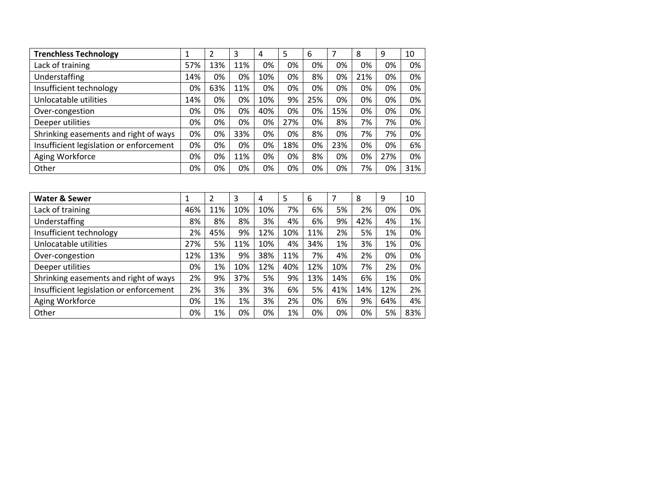| <b>Trenchless Technology</b>            |     | 2   | 3   | 4   | 5   | 6   |     | 8   | 9   | 10  |
|-----------------------------------------|-----|-----|-----|-----|-----|-----|-----|-----|-----|-----|
| Lack of training                        | 57% | 13% | 11% | 0%  | 0%  | 0%  | 0%  | 0%  | 0%  | 0%  |
| Understaffing                           | 14% | 0%  | 0%  | 10% | 0%  | 8%  | 0%  | 21% | 0%  | 0%  |
| Insufficient technology                 | 0%  | 63% | 11% | 0%  | 0%  | 0%  | 0%  | 0%  | 0%  | 0%  |
| Unlocatable utilities                   | 14% | 0%  | 0%  | 10% | 9%  | 25% | 0%  | 0%  | 0%  | 0%  |
| Over-congestion                         | 0%  | 0%  | 0%  | 40% | 0%  | 0%  | 15% | 0%  | 0%  | 0%  |
| Deeper utilities                        | 0%  | 0%  | 0%  | 0%  | 27% | 0%  | 8%  | 7%  | 7%  | 0%  |
| Shrinking easements and right of ways   | 0%  | 0%  | 33% | 0%  | 0%  | 8%  | 0%  | 7%  | 7%  | 0%  |
| Insufficient legislation or enforcement | 0%  | 0%  | 0%  | 0%  | 18% | 0%  | 23% | 0%  | 0%  | 6%  |
| Aging Workforce                         | 0%  | 0%  | 11% | 0%  | 0%  | 8%  | 0%  | 0%  | 27% | 0%  |
| Other                                   | 0%  | 0%  | 0%  | 0%  | 0%  | 0%  | 0%  | 7%  | 0%  | 31% |

| <b>Water &amp; Sewer</b>                | 1   | $\overline{2}$ | 3   | 4   | 5   | 6   | 7   | 8   | 9   | 10  |
|-----------------------------------------|-----|----------------|-----|-----|-----|-----|-----|-----|-----|-----|
| Lack of training                        | 46% | 11%            | 10% | 10% | 7%  | 6%  | 5%  | 2%  | 0%  | 0%  |
| Understaffing                           | 8%  | 8%             | 8%  | 3%  | 4%  | 6%  | 9%  | 42% | 4%  | 1%  |
| Insufficient technology                 | 2%  | 45%            | 9%  | 12% | 10% | 11% | 2%  | 5%  | 1%  | 0%  |
| Unlocatable utilities                   | 27% | 5%             | 11% | 10% | 4%  | 34% | 1%  | 3%  | 1%  | 0%  |
| Over-congestion                         | 12% | 13%            | 9%  | 38% | 11% | 7%  | 4%  | 2%  | 0%  | 0%  |
| Deeper utilities                        | 0%  | 1%             | 10% | 12% | 40% | 12% | 10% | 7%  | 2%  | 0%  |
| Shrinking easements and right of ways   | 2%  | 9%             | 37% | 5%  | 9%  | 13% | 14% | 6%  | 1%  | 0%  |
| Insufficient legislation or enforcement | 2%  | 3%             | 3%  | 3%  | 6%  | 5%  | 41% | 14% | 12% | 2%  |
| Aging Workforce                         | 0%  | 1%             | 1%  | 3%  | 2%  | 0%  | 6%  | 9%  | 64% | 4%  |
| Other                                   | 0%  | 1%             | 0%  | 0%  | 1%  | 0%  | 0%  | 0%  | 5%  | 83% |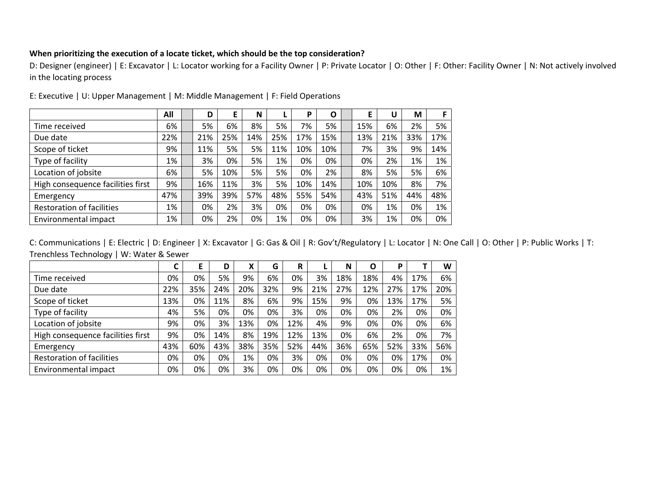## **When prioritizing the execution of <sup>a</sup> locate ticket, which should be the top consideration?**

D: Designer (engineer) | E: Excavator | L: Locator working for <sup>a</sup> Facility Owner | P: Private Locator | O: Other | F: Other: Facility Owner | N: Not actively involved in the locating process

|                                   | All | D   | E   | N   |     | P   | $\mathbf{O}$ | E   | U   | М   |     |
|-----------------------------------|-----|-----|-----|-----|-----|-----|--------------|-----|-----|-----|-----|
| Time received                     | 6%  | 5%  | 6%  | 8%  | 5%  | 7%  | 5%           | 15% | 6%  | 2%  | 5%  |
| Due date                          | 22% | 21% | 25% | 14% | 25% | 17% | 15%          | 13% | 21% | 33% | 17% |
| Scope of ticket                   | 9%  | 11% | 5%  | 5%  | 11% | 10% | 10%          | 7%  | 3%  | 9%  | 14% |
| Type of facility                  | 1%  | 3%  | 0%  | 5%  | 1%  | 0%  | 0%           | 0%  | 2%  | 1%  | 1%  |
| Location of jobsite               | 6%  | 5%  | 10% | 5%  | 5%  | 0%  | 2%           | 8%  | 5%  | 5%  | 6%  |
| High consequence facilities first | 9%  | 16% | 11% | 3%  | 5%  | 10% | 14%          | 10% | 10% | 8%  | 7%  |
| Emergency                         | 47% | 39% | 39% | 57% | 48% | 55% | 54%          | 43% | 51% | 44% | 48% |
| <b>Restoration of facilities</b>  | 1%  | 0%  | 2%  | 3%  | 0%  | 0%  | 0%           | 0%  | 1%  | 0%  | 1%  |
| Environmental impact              | 1%  | 0%  | 2%  | 0%  | 1%  | 0%  | 0%           | 3%  | 1%  | 0%  | 0%  |

E: Executive | U: Upper Management | M: Middle Management | F: Field Operations

|                                   | ◠   | E   | D   | v<br>Х | G   | R   |     | N   | Ο   | P   |     | W   |
|-----------------------------------|-----|-----|-----|--------|-----|-----|-----|-----|-----|-----|-----|-----|
| Time received                     | 0%  | 0%  | 5%  | 9%     | 6%  | 0%  | 3%  | 18% | 18% | 4%  | 17% | 6%  |
| Due date                          | 22% | 35% | 24% | 20%    | 32% | 9%  | 21% | 27% | 12% | 27% | 17% | 20% |
| Scope of ticket                   | 13% | 0%  | 11% | 8%     | 6%  | 9%  | 15% | 9%  | 0%  | 13% | 17% | 5%  |
| Type of facility                  | 4%  | 5%  | 0%  | 0%     | 0%  | 3%  | 0%  | 0%  | 0%  | 2%  | 0%  | 0%  |
| Location of jobsite               | 9%  | 0%  | 3%  | 13%    | 0%  | 12% | 4%  | 9%  | 0%  | 0%  | 0%  | 6%  |
| High consequence facilities first | 9%  | 0%  | 14% | 8%     | 19% | 12% | 13% | 0%  | 6%  | 2%  | 0%  | 7%  |
| Emergency                         | 43% | 60% | 43% | 38%    | 35% | 52% | 44% | 36% | 65% | 52% | 33% | 56% |
| <b>Restoration of facilities</b>  | 0%  | 0%  | 0%  | 1%     | 0%  | 3%  | 0%  | 0%  | 0%  | 0%  | 17% | 0%  |
| Environmental impact              | 0%  | 0%  | 0%  | 3%     | 0%  | 0%  | 0%  | 0%  | 0%  | 0%  | 0%  | 1%  |